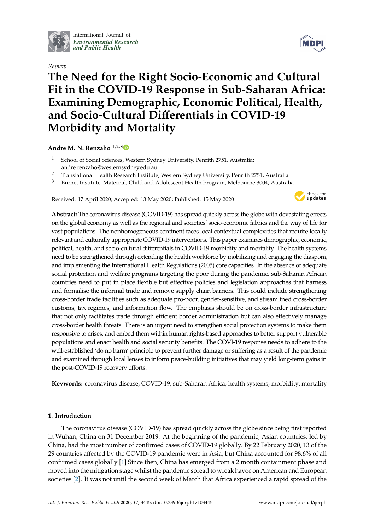

International Journal of *[Environmental Research](http://www.mdpi.com/journal/ijerph) and Public Health*

*Review*



# **The Need for the Right Socio-Economic and Cultural Fit in the COVID-19 Response in Sub-Saharan Africa: Examining Demographic, Economic Political, Health, and Socio-Cultural Di**ff**erentials in COVID-19 Morbidity and Mortality**

## **Andre M. N. Renzaho 1,2,[3](https://orcid.org/0000-0002-6844-0833)**

- <sup>1</sup> School of Social Sciences, Western Sydney University, Penrith 2751, Australia; andre.renzaho@westernsydney.edu.au
- <sup>2</sup> Translational Health Research Institute, Western Sydney University, Penrith 2751, Australia
- <sup>3</sup> Burnet Institute, Maternal, Child and Adolescent Health Program, Melbourne 3004, Australia

Received: 17 April 2020; Accepted: 13 May 2020; Published: 15 May 2020



**Abstract:** The coronavirus disease (COVID-19) has spread quickly across the globe with devastating effects on the global economy as well as the regional and societies' socio-economic fabrics and the way of life for vast populations. The nonhomogeneous continent faces local contextual complexities that require locally relevant and culturally appropriate COVID-19 interventions. This paper examines demographic, economic, political, health, and socio-cultural differentials in COVID-19 morbidity and mortality. The health systems need to be strengthened through extending the health workforce by mobilizing and engaging the diaspora, and implementing the International Health Regulations (2005) core capacities. In the absence of adequate social protection and welfare programs targeting the poor during the pandemic, sub-Saharan African countries need to put in place flexible but effective policies and legislation approaches that harness and formalise the informal trade and remove supply chain barriers. This could include strengthening cross-border trade facilities such as adequate pro-poor, gender-sensitive, and streamlined cross-border customs, tax regimes, and information flow. The emphasis should be on cross-border infrastructure that not only facilitates trade through efficient border administration but can also effectively manage cross-border health threats. There is an urgent need to strengthen social protection systems to make them responsive to crises, and embed them within human rights-based approaches to better support vulnerable populations and enact health and social security benefits. The COVI-19 response needs to adhere to the well-established 'do no harm' principle to prevent further damage or suffering as a result of the pandemic and examined through local lenses to inform peace-building initiatives that may yield long-term gains in the post-COVID-19 recovery efforts.

**Keywords:** coronavirus disease; COVID-19; sub-Saharan Africa; health systems; morbidity; mortality

### **1. Introduction**

The coronavirus disease (COVID-19) has spread quickly across the globe since being first reported in Wuhan, China on 31 December 2019. At the beginning of the pandemic, Asian countries, led by China, had the most number of confirmed cases of COVID-19 globally. By 22 February 2020, 13 of the 29 countries affected by the COVID-19 pandemic were in Asia, but China accounted for 98.6% of all confirmed cases globally [\[1\]](#page-9-0) Since then, China has emerged from a 2 month containment phase and moved into the mitigation stage whilst the pandemic spread to wreak havoc on American and European societies [\[2\]](#page-10-0). It was not until the second week of March that Africa experienced a rapid spread of the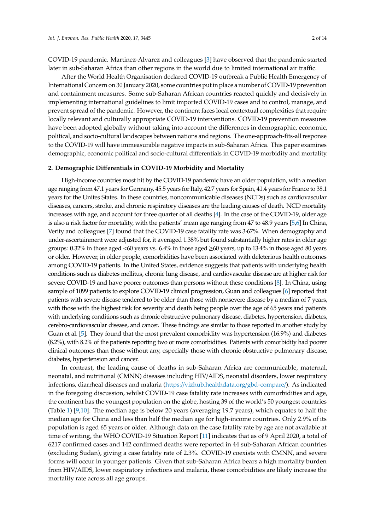COVID-19 pandemic. Martinez-Alvarez and colleagues [\[3\]](#page-10-1) have observed that the pandemic started later in sub-Saharan Africa than other regions in the world due to limited international air traffic.

After the World Health Organisation declared COVID-19 outbreak a Public Health Emergency of International Concern on 30 January 2020, some countries put in place a number of COVID-19 prevention and containment measures. Some sub-Saharan African countries reacted quickly and decisively in implementing international guidelines to limit imported COVID-19 cases and to control, manage, and prevent spread of the pandemic. However, the continent faces local contextual complexities that require locally relevant and culturally appropriate COVID-19 interventions. COVID-19 prevention measures have been adopted globally without taking into account the differences in demographic, economic, political, and socio-cultural landscapes between nations and regions. The one-approach-fits-all response to the COVID-19 will have immeasurable negative impacts in sub-Saharan Africa. This paper examines demographic, economic political and socio-cultural differentials in COVID-19 morbidity and mortality.

#### **2. Demographic Di**ff**erentials in COVID-19 Morbidity and Mortality**

High-income countries most hit by the COVID-19 pandemic have an older population, with a median age ranging from 47.1 years for Germany, 45.5 years for Italy, 42.7 years for Spain, 41.4 years for France to 38.1 years for the Unites States. In these countries, noncommunicable diseases (NCDs) such as cardiovascular diseases, cancers, stroke, and chronic respiratory diseases are the leading causes of death. NCD mortality increases with age, and account for three quarter of all deaths [\[4\]](#page-10-2). In the case of the COVID-19, older age is also a risk factor for mortality, with the patients' mean age ranging from 47 to 48.9 years [\[5](#page-10-3)[,6\]](#page-10-4) In China, Verity and colleagues [\[7\]](#page-10-5) found that the COVID-19 case fatality rate was 3·67%. When demography and under-ascertainment were adjusted for, it averaged 1.38% but found substantially higher rates in older age groups: 0.32% in those aged <60 years vs. 6.4% in those aged ≥60 years, up to 13·4% in those aged 80 years or older. However, in older people, comorbidities have been associated with deleterious health outcomes among COVID-19 patients. In the United States, evidence suggests that patients with underlying health conditions such as diabetes mellitus, chronic lung disease, and cardiovascular disease are at higher risk for severe COVID-19 and have poorer outcomes than persons without these conditions [\[8\]](#page-10-6). In China, using sample of 1099 patients to explore COVID-19 clinical progression, Guan and colleagues [\[6\]](#page-10-4) reported that patients with severe disease tendered to be older than those with nonsevere disease by a median of 7 years, with those with the highest risk for severity and death being people over the age of 65 years and patients with underlying conditions such as chronic obstructive pulmonary disease, diabetes, hypertension, diabetes, cerebro-cardiovascular disease, and cancer. These findings are similar to those reported in another study by Guan et al. [\[5\]](#page-10-3). They found that the most prevalent comorbidity was hypertension (16.9%) and diabetes (8.2%), with 8.2% of the patients reporting two or more comorbidities. Patients with comorbidity had poorer clinical outcomes than those without any, especially those with chronic obstructive pulmonary disease, diabetes, hypertension and cancer.

In contrast, the leading cause of deaths in sub-Saharan Africa are communicable, maternal, neonatal, and nutritional (CMNN) diseases including HIV/AIDS, neonatal disorders, lower respiratory infections, diarrheal diseases and malaria (https://[vizhub.healthdata.org](https://vizhub.healthdata.org/gbd-compare/)/gbd-compare/). As indicated in the foregoing discussion, whilst COVID-19 case fatality rate increases with comorbidities and age, the continent has the youngest population on the globe, hosting 39 of the world's 50 youngest countries (Table [1\)](#page-2-0) [\[9,](#page-10-7)[10\]](#page-10-8). The median age is below 20 years (averaging 19.7 years), which equates to half the median age for China and less than half the median age for high-income countries. Only 2.9% of its population is aged 65 years or older. Although data on the case fatality rate by age are not available at time of writing, the WHO COVID-19 Situation Report [\[11\]](#page-10-9) indicates that as of 9 April 2020, a total of 6217 confirmed cases and 142 confirmed deaths were reported in 44 sub-Saharan African countries (excluding Sudan), giving a case fatality rate of 2.3%. COVID-19 coexists with CMNN, and severe forms will occur in younger patients. Given that sub-Saharan Africa bears a high mortality burden from HIV/AIDS, lower respiratory infections and malaria, these comorbidities are likely increase the mortality rate across all age groups.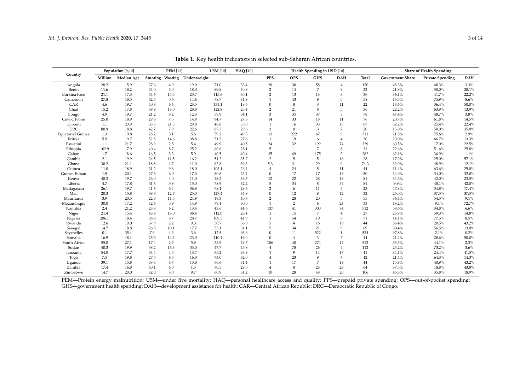|                          | Population [9,10] |            | <b>PEM</b> [12] |         | <b>U5M</b> [10] | <b>HAQ</b> [10] | Health Spending in USD [10] |                |                |                |                | <b>Share of Health Spending</b> |                         |                         |            |
|--------------------------|-------------------|------------|-----------------|---------|-----------------|-----------------|-----------------------------|----------------|----------------|----------------|----------------|---------------------------------|-------------------------|-------------------------|------------|
| Country                  | Million           | Median Age | Stunting        | Wasting | Under-weight    |                 |                             | <b>PPS</b>     | <b>OPS</b>     | <b>GHS</b>     | <b>DAH</b>     | Total                           | <b>Government Share</b> | <b>Private Spending</b> | <b>DAH</b> |
| Angola                   | 28.2              | 15.9       | 37.6            | 4.9     | 19.0            | 71.0            | 33.4                        | $20\,$         | 38             | 58             | $\overline{4}$ | 120                             | 48.3%                   | 48.3%                   | 3.3%       |
| Benin                    | 11.6              | 18.2       | 34.0            | 5.0     | 18.0            | 89.8            | 30.8                        | $\overline{2}$ | 14             | $\overline{7}$ | 9              | 32                              | 21.9%                   | 50.0%                   | 28.1%      |
| Burkina Faso             | 21.1              | 17.3       | 34.6            | 15.5    | 25.7            | 115.6           | 30.1                        | $\overline{2}$ | 13             | 13             | 8              | 36                              | 36.1%                   | 41.7%                   | 22.2%      |
| Cameroon                 | 27.8              | 18.5       | 32.5            | 5.6     | 14.6            | 78.7            | 31.9                        | $\overline{1}$ | 43             | 9              | 5              | 58                              | 15.5%                   | 75.9%                   | 8.6%       |
| CAR                      | 4.6               | 19.7       | 40.8            | 6.6     | 23.5            | 131.1           | 18.6                        | $\Omega$       | 8              | 3              | 11             | 22                              | 13.6%                   | 36.4%                   | 50.0%      |
| Chad                     | 15.2              | 17.8       | 39.9            | 13.0    | 28.8            | 122.8           | 25.4                        | $\overline{2}$ | 21             | 8              | 5              | 36                              | 22.2%                   | 63.9%                   | 13.9%      |
| Congo                    | 4.9               | 19.7       | 21.2            | 8.2     | 12.3            | 59.9            | 34.1                        | 3              | 35             | 37             | 3              | 78                              | 47.4%                   | 48.7%                   | 3.8%       |
| Cote d'Ivoire            | 25.0              | 18.9       | 29.8            | 7.5     | 14.9            | 94.7            | 27.3                        | 14             | 33             | 18             | 11             | 76                              | 23.7%                   | 61.8%                   | 14.5%      |
| Djibouti                 | 1.1               | 23.9       | 33.5            | 21.5    | 29.8            | 48.8            | 35.0                        | $\mathbf{1}$   | 16             | 35             | 15             | 67                              | 52.2%                   | 25.4%                   | 22.4%      |
| <b>DRC</b>               | 80.9              | 18.8       | 42.7            | 7.9     | 22.6            | 87.3            | 29.6                        | $\overline{2}$ | 8              | 3              | $\overline{7}$ | 20                              | 15.0%                   | 50.0%                   | 35.0%      |
| <b>Equatorial Guinea</b> | 1.3               | 19.8       | 26.2            | 3.1     | 5.6             | 59.2            | 49.3                        | 13             | 222            | 67             | $\mathbf{Q}$   | 311                             | 21.5%                   | 75.6%                   | 2.9%       |
| Eritrea                  | 5.9               | 19.7       | 52.5            | 14.6    | 38.8            | 51.3            | 27.6                        | 1              | 19             | 6              | $\overline{4}$ | 30                              | 20.0%                   | 66.7%                   | 13.3%      |
| Eswatini                 | 1.1               | 21.7       | 28.9            | $2.5\,$ | 5.4             | 49.9            | 40.5                        | 24             | 32             | 199            | 74             | 329                             | 60.5%                   | 17.0%                   | 22.5%      |
| Ethiopia                 | 102.9             | 17.9       | 40.4            | 8.7     | 25.2            | 60.6            | 28.1                        | 5              | 11             | $\overline{7}$ | 8              | 31                              | 22.6%                   | 51.6%                   | 25.8%      |
| Gabon                    | 1.7               | 18.6       | 16.5            | 3.3     | 5.9             | 40.5            | 40.4                        | 35             | 69             | 175            | 3              | 282                             | 62.1%                   | 36.9%                   | 1.1%       |
| Gambia                   | 2.1               | 19.9       | 24.5            | 11.5    | 16.2            | 51.2            | 35.7                        | 2              | 5              | 5              | 16             | 28                              | 17.9%                   | 25.0%                   | 57.1%      |
| Ghana                    | 30.2              | 21.1       | 18.8            | 4.7     | 11.0            | 62.8            | 39.3                        | 5.3            | 31             | 29             | 9              | 74.3                            | 39.0%                   | 48.9%                   | 12.1%      |
| Guinea                   | 11.8              | 18.9       | 31.2            | 9.6     | 18.0            | 103.1           | 26.4                        | $\overline{4}$ | 24             | 5              | 11             | 44                              | 11.4%                   | 63.6%                   | 25.0%      |
| Guinea-Bissau            | 1.9               | 20.1       | 27.6            | 6.0     | 17.0            | 80.6            | 23.4                        | $\Omega$       | 17             | 17             | 16             | 50                              | 34.0%                   | 34.0%                   | 32.0%      |
| Kenya                    | 48.3              | 19.7       | 26.0            | 4.0     | 11.0            | 48.2            | 39.5                        | 12             | 22             | 28             | 19             | 81                              | 34.6%                   | 42.0%                   | 23.5%      |
| Liberia                  | 4.7               | 17.8       | 31.6            | 5.9     | 15.0            | 78.9            | 32.2                        | $\overline{5}$ | 34             | 8              | 34             | 81                              | 9.9%                    | 48.1%                   | 42.0%      |
| Madagascar               | 26.1              | 19.7       | 41.6            | 6.4     | 36.8            | 78.1            | 29.6                        | $\overline{2}$ | 6              | 11             | $\overline{4}$ | 23                              | 47.8%                   | 34.8%                   | 17.4%      |
| Mali                     | 20.3              | 15.8       | 38.3            | 12.7    | 25.0            | 127.4           | 34.9                        | $\Omega$       | 12             | 8              | 12             | 32                              | 25.0%                   | 37.5%                   | 37.5%      |
| Mauritania               | 3.9               | 20.5       | 22.8            | 11.5    | 24.9            | 49.3            | 40.6                        | $\overline{2}$ | 28             | 20             | 5              | 55                              | 36.4%                   | 54.5%                   | 9.1%       |
| Mozambique               | 30.0              | 17.2       | 42.6            | 5.9     | 14.9            | 79.1            | 30.0                        | $\mathbf{1}$   | 2              | 6              | 24             | 33                              | 18.2%                   | 9.1%                    | 72.7%      |
| Namibia                  | 2.4               | 21.2       | 23.8            | 6.2     | 13.4            | 43.6            | 44.6                        | 137            | 41             | 300            | 34             | 512                             | 58.6%                   | 34.8%                   | 6.6%       |
| Niger                    | 21.4              | 15.4       | 43.9            | 18.0    | 36.4            | 112.0           | 28.4                        | 1              | 15             | 7              | $\overline{4}$ | 27                              | 25.9%                   | 59.3%                   | 14.8%      |
| Nigeria                  | 206.1             | 18.4       | 36.8            | 8.7     | 28.7            | 109.5           | 41.9                        | $\mathbf{1}$   | 54             | 10             | 6              | 71                              | 14.1%                   | 77.5%                   | 8.5%       |
| Rwanda                   | 12.6              | 19.0       | 37.9            | 2.2     | 9.3             | 50.7            | 36.0                        | 5              | $\overline{4}$ | 16             | 19             | 44                              | 36.4%                   | 20.5%                   | 43.2%      |
| Senegal                  | 14.7              | 18.8       | 26.5            | 10.1    | 17.7            | 53.1            | 31.1                        | 5              | 34             | 21             | 9              | 69                              | 30.4%                   | 56.5%                   | 13.0%      |
| Sevchelles               | 0.1               | 35.4       | 7.9             | 4.3     | 3.6             | 12.5            | 65.6                        | $\theta$       | 11             | 522            | $\overline{1}$ | 534                             | 97.8%                   | 2.1%                    | 0.2%       |
| Somalia                  | 16.9              | 18.1       | 25.3            | 14.3    | 23.0            | 110.4           | 19.0                        | $\mathbf{0}$   | $\overline{4}$ | 3              | $\overline{7}$ | 14                              | 21.4%                   | 28.6%                   | $50.0\%$   |
| South Africa             | 55.0              | 27.1       | 17.4            | 2.5     | 5.9             | 35.9            | 49.7                        | 186            | 40             | 274            | 12             | 512                             | 53.5%                   | 44.1%                   | 2.3%       |
| Sudan                    | 40.3              | 19.9       | 38.2            | 16.3    | 33.0            | 47.7            | 45.8                        | $\overline{4}$ | 78             | 26             | $\overline{4}$ | 112                             | 23.2%                   | 73.2%                   | 3.6%       |
| Tanzania                 | 54.0              | 17.7       | 34.4            | 4.5     | 13.7            | 65.2            | 33.9                        | $\mathbf{1}$   | 9              | 14             | 17             | 41                              | 34.1%                   | 24.4%                   | 41.5%      |
| Togo                     | 7.5               | 19.8       | 27.5            | 6.5     | 16.0            | 73.0            | 32.0                        | $\overline{4}$ | 23             | 9              | 6              | 42                              | 21.4%                   | 64.3%                   | 14.3%      |
| Uganda                   | 39.1              | 15.8       | 33.4            | 4.7     | 13.8            | 66.6            | 31.4                        | $\overline{1}$ | 17             | $\overline{7}$ | 19             | 44                              | 15.9%                   | 40.9%                   | 43.2%      |
| Zambia                   | 17.4              | 16.8       | 40.1            | 6.0     | 1.5             | 70.5            | 29.0                        | $\overline{4}$ | 8              | 24             | 28             | 64                              | 37.5%                   | 18.8%                   | 43.8%      |
| Zimbabwe                 | 14.7              | 20.0       | 32.0            | 3.0     | 9.7             | 60.9            | 31.2                        | 10             | 28             | 48             | 20             | 106                             | 45.3%                   | 35.8%                   | 18.9%      |

**Table 1.** Key health indicators in selected sub-Saharan African countries.

<span id="page-2-0"></span>PEM—Protein energy malnutrition; U5M—under five mortality; HAQ—personal healthcare access and quality; PPS—prepaid private spending; OPS—out-of-pocket spending; GHS—government health spending; DAH—development assistance for health; CAR—Central African Republic; DRC—Democratic Republic of Congo.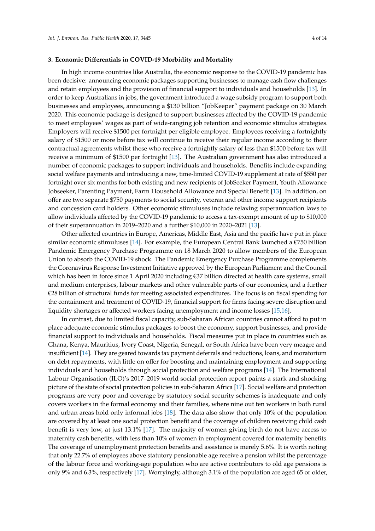#### **3. Economic Di**ff**erentials in COVID-19 Morbidity and Mortality**

In high income countries like Australia, the economic response to the COVID-19 pandemic has been decisive: announcing economic packages supporting businesses to manage cash flow challenges and retain employees and the provision of financial support to individuals and households [\[13\]](#page-10-13). In order to keep Australians in jobs, the government introduced a wage subsidy program to support both businesses and employees, announcing a \$130 billion "JobKeeper" payment package on 30 March 2020. This economic package is designed to support businesses affected by the COVID-19 pandemic to meet employees' wages as part of wide-ranging job retention and economic stimulus strategies. Employers will receive \$1500 per fortnight per eligible employee. Employees receiving a fortnightly salary of \$1500 or more before tax will continue to receive their regular income according to their contractual agreements whilst those who receive a fortnightly salary of less than \$1500 before tax will receive a minimum of \$1500 per fortnight [\[13\]](#page-10-13). The Australian government has also introduced a number of economic packages to support individuals and households. Benefits include expanding social welfare payments and introducing a new, time-limited COVID-19 supplement at rate of \$550 per fortnight over six months for both existing and new recipients of JobSeeker Payment, Youth Allowance Jobseeker, Parenting Payment, Farm Household Allowance and Special Benefit [\[13\]](#page-10-13). In addition, on offer are two separate \$750 payments to social security, veteran and other income support recipients and concession card holders. Other economic stimuluses include relaxing superannuation laws to allow individuals affected by the COVID-19 pandemic to access a tax-exempt amount of up to \$10,000 of their superannuation in 2019–2020 and a further \$10,000 in 2020–2021 [\[13\]](#page-10-13).

Other affected countries in Europe, Americas, Middle East, Asia and the pacific have put in place similar economic stimuluses [\[14\]](#page-10-14). For example, the European Central Bank launched a  $\epsilon$ 750 billion Pandemic Emergency Purchase Programme on 18 March 2020 to allow members of the European Union to absorb the COVID-19 shock. The Pandemic Emergency Purchase Programme complements the Coronavirus Response Investment Initiative approved by the European Parliament and the Council which has been in force since 1 April 2020 including €37 billion directed at health care systems, small and medium enterprises, labour markets and other vulnerable parts of our economies, and a further €28 billion of structural funds for meeting associated expenditures. The focus is on fiscal spending for the containment and treatment of COVID-19, financial support for firms facing severe disruption and liquidity shortages or affected workers facing unemployment and income losses [\[15](#page-10-15)[,16\]](#page-10-16).

In contrast, due to limited fiscal capacity, sub-Saharan African countries cannot afford to put in place adequate economic stimulus packages to boost the economy, support businesses, and provide financial support to individuals and households. Fiscal measures put in place in countries such as Ghana, Kenya, Mauritius, Ivory Coast, Nigeria, Senegal, or South Africa have been very meagre and insufficient [\[14\]](#page-10-14). They are geared towards tax payment deferrals and reductions, loans, and moratorium on debt repayments, with little on offer for boosting and maintaining employment and supporting individuals and households through social protection and welfare programs [\[14\]](#page-10-14). The International Labour Organisation (ILO)'s 2017–2019 world social protection report paints a stark and shocking picture of the state of social protection policies in sub-Saharan Africa [\[17\]](#page-10-17). Social welfare and protection programs are very poor and coverage by statutory social security schemes is inadequate and only covers workers in the formal economy and their families, where nine out ten workers in both rural and urban areas hold only informal jobs [\[18\]](#page-10-18). The data also show that only 10% of the population are covered by at least one social protection benefit and the coverage of children receiving child cash benefit is very low, at just 13.1% [\[17\]](#page-10-17). The majority of women giving birth do not have access to maternity cash benefits, with less than 10% of women in employment covered for maternity benefits. The coverage of unemployment protection benefits and assistance is merely 5.6%. It is worth noting that only 22.7% of employees above statutory pensionable age receive a pension whilst the percentage of the labour force and working-age population who are active contributors to old age pensions is only 9% and 6.3%, respectively [\[17\]](#page-10-17). Worryingly, although 3.1% of the population are aged 65 or older,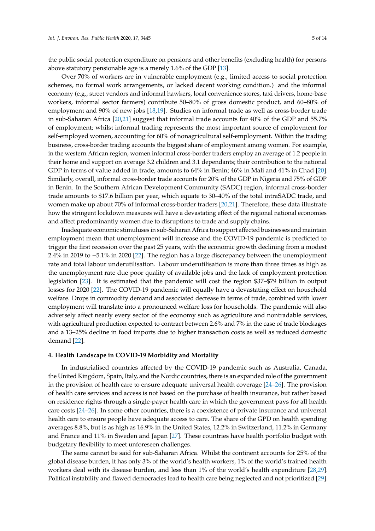the public social protection expenditure on pensions and other benefits (excluding health) for persons above statutory pensionable age is a merely 1.6% of the GDP [\[13\]](#page-10-13).

Over 70% of workers are in vulnerable employment (e.g., limited access to social protection schemes, no formal work arrangements, or lacked decent working condition.) and the informal economy (e.g., street vendors and informal hawkers, local convenience stores, taxi drivers, home-base workers, informal sector farmers) contribute 50–80% of gross domestic product, and 60–80% of employment and 90% of new jobs [\[18,](#page-10-18)[19\]](#page-10-19). Studies on informal trade as well as cross-border trade in sub-Saharan Africa [\[20,](#page-11-0)[21\]](#page-11-1) suggest that informal trade accounts for 40% of the GDP and 55.7% of employment; whilst informal trading represents the most important source of employment for self-employed women, accounting for 60% of nonagricultural self-employment. Within the trading business, cross-border trading accounts the biggest share of employment among women. For example, in the western African region, women informal cross-border traders employ an average of 1.2 people in their home and support on average 3.2 children and 3.1 dependants; their contribution to the national GDP in terms of value added in trade, amounts to 64% in Benin; 46% in Mali and 41% in Chad [\[20\]](#page-11-0). Similarly, overall, informal cross-border trade accounts for 20% of the GDP in Nigeria and 75% of GDP in Benin. In the Southern African Development Community (SADC) region, informal cross-border trade amounts to \$17.6 billion per year, which equate to 30–40% of the total intraSADC trade, and women make up about 70% of informal cross-border traders [\[20](#page-11-0)[,21\]](#page-11-1). Therefore, these data illustrate how the stringent lockdown measures will have a devastating effect of the regional national economies and affect predominantly women due to disruptions to trade and supply chains.

Inadequate economic stimuluses in sub-Saharan Africa to support affected businesses and maintain employment mean that unemployment will increase and the COVID-19 pandemic is predicted to trigger the first recession over the past 25 years, with the economic growth declining from a modest 2.4% in 2019 to −5.1% in 2020 [\[22\]](#page-11-2). The region has a large discrepancy between the unemployment rate and total labour underutilisation. Labour underutilisation is more than three times as high as the unemployment rate due poor quality of available jobs and the lack of employment protection legislation [\[23\]](#page-11-3). It is estimated that the pandemic will cost the region \$37–\$79 billion in output losses for 2020 [\[22\]](#page-11-2). The COVID-19 pandemic will equally have a devastating effect on household welfare. Drops in commodity demand and associated decrease in terms of trade, combined with lower employment will translate into a pronounced welfare loss for households. The pandemic will also adversely affect nearly every sector of the economy such as agriculture and nontradable services, with agricultural production expected to contract between 2.6% and 7% in the case of trade blockages and a 13–25% decline in food imports due to higher transaction costs as well as reduced domestic demand [\[22\]](#page-11-2).

#### **4. Health Landscape in COVID-19 Morbidity and Mortality**

In industrialised countries affected by the COVID-19 pandemic such as Australia, Canada, the United Kingdom, Spain, Italy, and the Nordic countries, there is an expanded role of the government in the provision of health care to ensure adequate universal health coverage [\[24–](#page-11-4)[26\]](#page-11-5). The provision of health care services and access is not based on the purchase of health insurance, but rather based on residence rights through a single-payer health care in which the government pays for all health care costs [\[24](#page-11-4)[–26\]](#page-11-5). In some other countries, there is a coexistence of private insurance and universal health care to ensure people have adequate access to care. The share of the GPD on health spending averages 8.8%, but is as high as 16.9% in the United States, 12.2% in Switzerland, 11.2% in Germany and France and 11% in Sweden and Japan [\[27\]](#page-11-6). These countries have health portfolio budget with budgetary flexibility to meet unforeseen challenges.

The same cannot be said for sub-Saharan Africa. Whilst the continent accounts for 25% of the global disease burden, it has only 3% of the world's health workers, 1% of the world's trained health workers deal with its disease burden, and less than 1% of the world's health expenditure [\[28,](#page-11-7)[29\]](#page-11-8). Political instability and flawed democracies lead to health care being neglected and not prioritized [\[29\]](#page-11-8).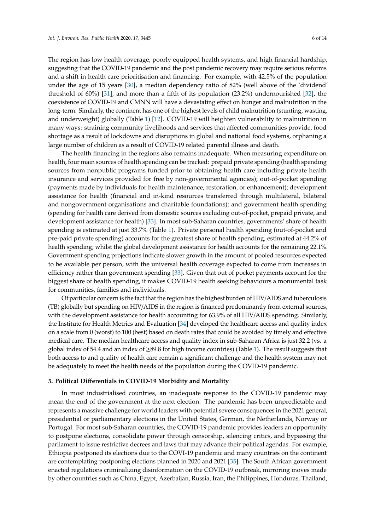The region has low health coverage, poorly equipped health systems, and high financial hardship, suggesting that the COVID-19 pandemic and the post pandemic recovery may require serious reforms and a shift in health care prioritisation and financing. For example, with 42.5% of the population under the age of 15 years [\[30\]](#page-11-9), a median dependency ratio of 82% (well above of the 'dividend' threshold of 60%) [\[31\]](#page-11-10), and more than a fifth of its population (23.2%) undernourished [\[32\]](#page-11-11), the coexistence of COVID-19 and CMNN will have a devastating effect on hunger and malnutrition in the long-term. Similarly, the continent has one of the highest levels of child malnutrition (stunting, wasting, and underweight) globally (Table [1\)](#page-2-0) [\[12\]](#page-10-20). COVID-19 will heighten vulnerability to malnutrition in many ways: straining community livelihoods and services that affected communities provide, food shortage as a result of lockdowns and disruptions in global and national food systems, orphaning a large number of children as a result of COVID-19 related parental illness and death.

The health financing in the regions also remains inadequate. When measuring expenditure on health, four main sources of health spending can be tracked: prepaid private spending (health spending sources from nonpublic programs funded prior to obtaining health care including private health insurance and services provided for free by non-governmental agencies); out-of-pocket spending (payments made by individuals for health maintenance, restoration, or enhancement); development assistance for health (financial and in-kind resources transferred through multilateral, bilateral and nongovernment organisations and charitable foundations); and government health spending (spending for health care derived from domestic sources excluding out-of-pocket, prepaid private, and development assistance for health) [\[33\]](#page-11-12). In most sub-Saharan countries, governments' share of health spending is estimated at just 33.7% (Table [1\)](#page-2-0). Private personal health spending (out-of-pocket and pre-paid private spending) accounts for the greatest share of health spending, estimated at 44.2% of health spending; whilst the global development assistance for health accounts for the remaining 22.1%. Government spending projections indicate slower growth in the amount of pooled resources expected to be available per person, with the universal health coverage expected to come from increases in efficiency rather than government spending [\[33\]](#page-11-12). Given that out of pocket payments account for the biggest share of health spending, it makes COVID-19 health seeking behaviours a monumental task for communities, families and individuals.

Of particular concern is the fact that the region has the highest burden of HIV/AIDS and tuberculosis (TB) globally but spending on HIV/AIDS in the region is financed predominantly from external sources, with the development assistance for health accounting for 63.9% of all HIV/AIDS spending. Similarly, the Institute for Health Metrics and Evaluation [\[34\]](#page-11-13) developed the healthcare access and quality index on a scale from 0 (worst) to 100 (best) based on death rates that could be avoided by timely and effective medical care. The median healthcare access and quality index in sub-Saharan Africa is just 32.2 (vs. a global index of 54.4 and an index of  $\geq$ 89.8 for high income countries) (Table [1\)](#page-2-0). The result suggests that both access to and quality of health care remain a significant challenge and the health system may not be adequately to meet the health needs of the population during the COVID-19 pandemic.

#### **5. Political Di**ff**erentials in COVID-19 Morbidity and Mortality**

In most industrialised countries, an inadequate response to the COVID-19 pandemic may mean the end of the government at the next election. The pandemic has been unpredictable and represents a massive challenge for world leaders with potential severe consequences in the 2021 general, presidential or parliamentary elections in the United States, German, the Netherlands, Norway or Portugal. For most sub-Saharan countries, the COVID-19 pandemic provides leaders an opportunity to postpone elections, consolidate power through censorship, silencing critics, and bypassing the parliament to issue restrictive decrees and laws that may advance their political agendas. For example, Ethiopia postponed its elections due to the COVI-19 pandemic and many countries on the continent are contemplating postponing elections planned in 2020 and 2021 [\[35\]](#page-11-14). The South African government enacted regulations criminalizing disinformation on the COVID-19 outbreak, mirroring moves made by other countries such as China, Egypt, Azerbaijan, Russia, Iran, the Philippines, Honduras, Thailand,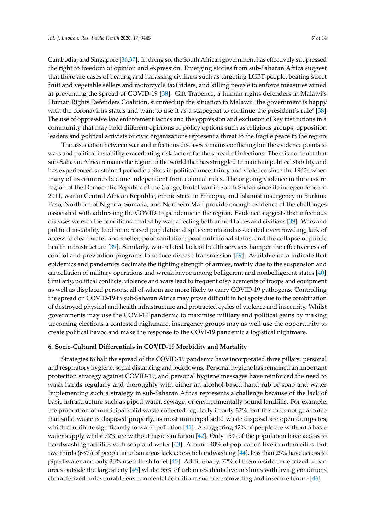Cambodia, and Singapore [\[36,](#page-11-15)[37\]](#page-11-16). In doing so, the South African government has effectively suppressed the right to freedom of opinion and expression. Emerging stories from sub-Saharan Africa suggest that there are cases of beating and harassing civilians such as targeting LGBT people, beating street fruit and vegetable sellers and motorcycle taxi riders, and killing people to enforce measures aimed at preventing the spread of COVID-19 [\[38\]](#page-11-17). Gift Trapence, a human rights defenders in Malawi's Human Rights Defenders Coalition, summed up the situation in Malawi: 'the government is happy with the coronavirus status and want to use it as a scapegoat to continue the president's rule' [\[38\]](#page-11-17). The use of oppressive law enforcement tactics and the oppression and exclusion of key institutions in a community that may hold different opinions or policy options such as religious groups, opposition leaders and political activists or civic organizations represent a threat to the fragile peace in the region.

The association between war and infectious diseases remains conflicting but the evidence points to wars and political instability exacerbating risk factors for the spread of infections. There is no doubt that sub-Saharan Africa remains the region in the world that has struggled to maintain political stability and has experienced sustained periodic spikes in political uncertainty and violence since the 1960s when many of its countries became independent from colonial rules. The ongoing violence in the eastern region of the Democratic Republic of the Congo, brutal war in South Sudan since its independence in 2011, war in Central African Republic, ethnic strife in Ethiopia, and Islamist insurgency in Burkina Faso, Northern of Nigeria, Somalia, and Northern Mali provide enough evidence of the challenges associated with addressing the COVID-19 pandemic in the region. Evidence suggests that infectious diseases worsen the conditions created by war, affecting both armed forces and civilians [\[39\]](#page-11-18). Wars and political instability lead to increased population displacements and associated overcrowding, lack of access to clean water and shelter, poor sanitation, poor nutritional status, and the collapse of public health infrastructure [\[39\]](#page-11-18). Similarly, war-related lack of health services hamper the effectiveness of control and prevention programs to reduce disease transmission [\[39\]](#page-11-18). Available data indicate that epidemics and pandemics decimate the fighting strength of armies, mainly due to the suspension and cancellation of military operations and wreak havoc among belligerent and nonbelligerent states [\[40\]](#page-11-19). Similarly, political conflicts, violence and wars lead to frequent displacements of troops and equipment as well as displaced persons, all of whom are more likely to carry COVID-19 pathogens. Controlling the spread on COVID-19 in sub-Saharan Africa may prove difficult in hot spots due to the combination of destroyed physical and health infrastructure and protracted cycles of violence and insecurity. Whilst governments may use the COVI-19 pandemic to maximise military and political gains by making upcoming elections a contested nightmare, insurgency groups may as well use the opportunity to create political havoc and make the response to the COVI-19 pandemic a logistical nightmare.

#### **6. Socio-Cultural Di**ff**erentials in COVID-19 Morbidity and Mortality**

Strategies to halt the spread of the COVID-19 pandemic have incorporated three pillars: personal and respiratory hygiene, social distancing and lockdowns. Personal hygiene has remained an important protection strategy against COVID-19, and personal hygiene messages have reinforced the need to wash hands regularly and thoroughly with either an alcohol-based hand rub or soap and water. Implementing such a strategy in sub-Saharan Africa represents a challenge because of the lack of basic infrastructure such as piped water, sewage, or environmentally sound landfills. For example, the proportion of municipal solid waste collected regularly in only 32%, but this does not guarantee that solid waste is disposed properly, as most municipal solid waste disposal are open dumpsites, which contribute significantly to water pollution [\[41\]](#page-12-0). A staggering 42% of people are without a basic water supply whilst 72% are without basic sanitation [\[42\]](#page-12-1). Only 15% of the population have access to handwashing facilities with soap and water [\[43\]](#page-12-2). Around 40% of population live in urban cities, but two thirds (63%) of people in urban areas lack access to handwashing [\[44\]](#page-12-3), less than 25% have access to piped water and only 35% use a flush toilet [\[45\]](#page-12-4). Additionally, 72% of them reside in deprived urban areas outside the largest city [\[45\]](#page-12-4) whilst 55% of urban residents live in slums with living conditions characterized unfavourable environmental conditions such overcrowding and insecure tenure [\[46\]](#page-12-5).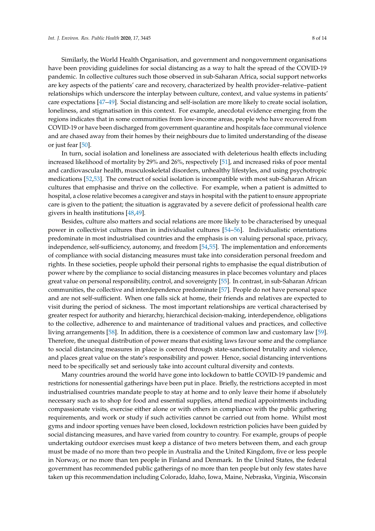Similarly, the World Health Organisation, and government and nongovernment organisations have been providing guidelines for social distancing as a way to halt the spread of the COVID-19 pandemic. In collective cultures such those observed in sub-Saharan Africa, social support networks are key aspects of the patients' care and recovery, characterized by health provider–relative–patient relationships which underscore the interplay between culture, context, and value systems in patients' care expectations [\[47](#page-12-6)[–49\]](#page-12-7). Social distancing and self-isolation are more likely to create social isolation, loneliness, and stigmatisation in this context. For example, anecdotal evidence emerging from the regions indicates that in some communities from low-income areas, people who have recovered from COVID-19 or have been discharged from government quarantine and hospitals face communal violence and are chased away from their homes by their neighbours due to limited understanding of the disease or just fear [\[50\]](#page-12-8).

In turn, social isolation and loneliness are associated with deleterious health effects including increased likelihood of mortality by 29% and 26%, respectively [\[51\]](#page-12-9), and increased risks of poor mental and cardiovascular health, musculoskeletal disorders, unhealthy lifestyles, and using psychotropic medications [\[52](#page-12-10)[,53\]](#page-12-11). The construct of social isolation is incompatible with most sub-Saharan African cultures that emphasise and thrive on the collective. For example, when a patient is admitted to hospital, a close relative becomes a caregiver and stays in hospital with the patient to ensure appropriate care is given to the patient; the situation is aggravated by a severe deficit of professional health care givers in health institutions [\[48](#page-12-12)[,49\]](#page-12-7).

Besides, culture also matters and social relations are more likely to be characterised by unequal power in collectivist cultures than in individualist cultures [\[54](#page-12-13)[–56\]](#page-12-14). Individualistic orientations predominate in most industrialised countries and the emphasis is on valuing personal space, privacy, independence, self-sufficiency, autonomy, and freedom [\[54](#page-12-13)[,55\]](#page-12-15). The implementation and enforcements of compliance with social distancing measures must take into consideration personal freedom and rights. In these societies, people uphold their personal rights to emphasise the equal distribution of power where by the compliance to social distancing measures in place becomes voluntary and places great value on personal responsibility, control, and sovereignty [\[55\]](#page-12-15). In contrast, in sub-Saharan African communities, the collective and interdependence predominate [\[57\]](#page-12-16). People do not have personal space and are not self-sufficient. When one falls sick at home, their friends and relatives are expected to visit during the period of sickness. The most important relationships are vertical characterised by greater respect for authority and hierarchy, hierarchical decision-making, interdependence, obligations to the collective, adherence to and maintenance of traditional values and practices, and collective living arrangements [\[58\]](#page-12-17). In addition, there is a coexistence of common law and customary law [\[59\]](#page-12-18). Therefore, the unequal distribution of power means that existing laws favour some and the compliance to social distancing measures in place is coerced through state-sanctioned brutality and violence, and places great value on the state's responsibility and power. Hence, social distancing interventions need to be specifically set and seriously take into account cultural diversity and contexts.

Many countries around the world have gone into lockdown to battle COVID-19 pandemic and restrictions for nonessential gatherings have been put in place. Briefly, the restrictions accepted in most industrialised countries mandate people to stay at home and to only leave their home if absolutely necessary such as to shop for food and essential supplies, attend medical appointments including compassionate visits, exercise either alone or with others in compliance with the public gathering requirements, and work or study if such activities cannot be carried out from home. Whilst most gyms and indoor sporting venues have been closed, lockdown restriction policies have been guided by social distancing measures, and have varied from country to country. For example, groups of people undertaking outdoor exercises must keep a distance of two meters between them, and each group must be made of no more than two people in Australia and the United Kingdom, five or less people in Norway, or no more than ten people in Finland and Denmark. In the United States, the federal government has recommended public gatherings of no more than ten people but only few states have taken up this recommendation including Colorado, Idaho, Iowa, Maine, Nebraska, Virginia, Wisconsin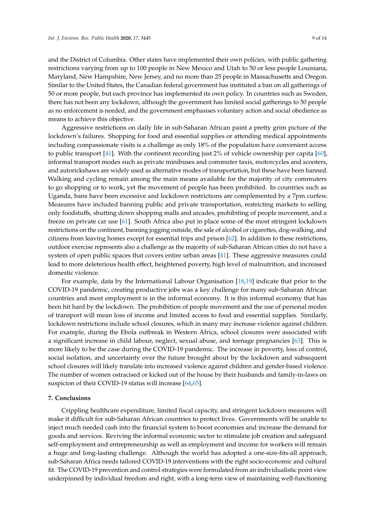and the District of Columbia. Other states have implemented their own policies, with public gathering restrictions varying from up to 100 people in New Mexico and Utah to 50 or less people Louisiana, Maryland, New Hampshire, New Jersey, and no more than 25 people in Massachusetts and Oregon. Similar to the United States, the Canadian federal government has instituted a ban on all gatherings of 50 or more people, but each province has implemented its own policy. In countries such as Sweden, there has not been any lockdown, although the government has limited social gatherings to 50 people as no enforcement is needed, and the government emphasises voluntary action and social obedience as means to achieve this objective.

Aggressive restrictions on daily life in sub-Saharan African paint a pretty grim picture of the lockdown's failures. Shopping for food and essential supplies or attending medical appointments including compassionate visits is a challenge as only 18% of the population have convenient access to public transport [\[41\]](#page-12-0). With the continent recording just 2% of vehicle ownership per capita [\[60\]](#page-12-19), informal transport modes such as private minibuses and commuter taxis, motorcycles and scooters, and autorickshaws are widely used as alternative modes of transportation, but these have been banned. Walking and cycling remain among the main means available for the majority of city commuters to go shopping or to work, yet the movement of people has been prohibited. In countries such as Uganda, bans have been excessive and lockdown restrictions are complemented by a 7pm curfew. Measures have included banning public and private transportation, restricting markets to selling only foodstuffs, shutting down shopping malls and arcades, prohibiting of people movement, and a freeze on private car use [\[61\]](#page-12-20). South Africa also put in place some of the most stringent lockdown restrictions on the continent, banning jogging outside, the sale of alcohol or cigarettes, dog-walking, and citizens from leaving homes except for essential trips and prison [\[62\]](#page-12-21). In addition to these restrictions, outdoor exercise represents also a challenge as the majority of sub-Saharan African cities do not have a system of open public spaces that covers entire urban areas [\[41\]](#page-12-0). These aggressive measures could lead to more deleterious health effect, heightened poverty, high level of malnutrition, and increased domestic violence.

For example, data by the International Labour Organisation [\[18,](#page-10-18)[19\]](#page-10-19) indicate that prior to the COVID-19 pandemic, creating productive jobs was a key challenge for many sub-Saharan African countries and most employment is in the informal economy. It is this informal economy that has been hit hard by the lockdown. The prohibition of people movement and the use of personal modes of transport will mean loss of income and limited access to food and essential supplies. Similarly, lockdown restrictions include school closures, which in many may increase violence against children. For example, during the Ebola outbreak in Western Africa, school closures were associated with a significant increase in child labour, neglect, sexual abuse, and teenage pregnancies [\[63\]](#page-13-0). This is more likely to be the case during the COVID-19 pandemic. The increase in poverty, loss of control, social isolation, and uncertainty over the future brought about by the lockdown and subsequent school closures will likely translate into increased violence against children and gender-based violence. The number of women ostracised or kicked out of the house by their husbands and family-in-laws on suspicion of their COVID-19 status will increase [\[64,](#page-13-1)[65\]](#page-13-2).

#### **7. Conclusions**

Crippling healthcare expenditure, limited fiscal capacity, and stringent lockdown measures will make it difficult for sub-Saharan African countries to protect lives. Governments will be unable to inject much needed cash into the financial system to boost economies and increase the demand for goods and services. Reviving the informal economic sector to stimulate job creation and safeguard self-employment and entrepreneurship as well as employment and income for workers will remain a huge and long-lasting challenge. Although the world has adopted a one-size-fits-all approach, sub-Saharan Africa needs tailored COVID-19 interventions with the right socio-economic and cultural fit. The COVID-19 prevention and control strategies were formulated from an individualistic point view underpinned by individual freedom and right, with a long-term view of maintaining well-functioning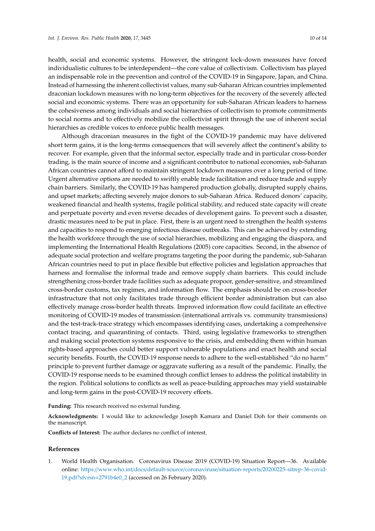health, social and economic systems. However, the stringent lock-down measures have forced individualistic cultures to be interdependent—the core value of collectivism. Collectivism has played an indispensable role in the prevention and control of the COVID-19 in Singapore, Japan, and China. Instead of harnessing the inherent collectivist values, many sub-Saharan African countries implemented draconian lockdown measures with no long-term objectives for the recovery of the severely affected social and economic systems. There was an opportunity for sub-Saharan African leaders to harness the cohesiveness among individuals and social hierarchies of collectivism to promote commitments to social norms and to effectively mobilize the collectivist spirit through the use of inherent social hierarchies as credible voices to enforce public health messages.

Although draconian measures in the fight of the COVID-19 pandemic may have delivered short term gains, it is the long-terms consequences that will severely affect the continent's ability to recover. For example, given that the informal sector, especially trade and in particular cross-border trading, is the main source of income and a significant contributor to national economies, sub-Saharan African countries cannot afford to maintain stringent lockdown measures over a long period of time. Urgent alternative options are needed to swiftly enable trade facilitation and reduce trade and supply chain barriers. Similarly, the COVID-19 has hampered production globally, disrupted supply chains, and upset markets; affecting severely major donors to sub-Saharan Africa. Reduced donors' capacity, weakened financial and health systems, fragile political stability, and reduced state capacity will create and perpetuate poverty and even reverse decades of development gains. To prevent such a disaster, drastic measures need to be put in place. First, there is an urgent need to strengthen the health systems and capacities to respond to emerging infectious disease outbreaks. This can be achieved by extending the health workforce through the use of social hierarchies, mobilizing and engaging the diaspora, and implementing the International Health Regulations (2005) core capacities. Second, in the absence of adequate social protection and welfare programs targeting the poor during the pandemic, sub-Saharan African countries need to put in place flexible but effective policies and legislation approaches that harness and formalise the informal trade and remove supply chain barriers. This could include strengthening cross-border trade facilities such as adequate propoor, gender-sensitive, and streamlined cross-border customs, tax regimes, and information flow. The emphasis should be on cross-border infrastructure that not only facilitates trade through efficient border administration but can also effectively manage cross-border health threats. Improved information flow could facilitate an effective monitoring of COVID-19 modes of transmission (international arrivals vs. community transmissions) and the test-track-trace strategy which encompasses identifying cases, undertaking a comprehensive contact tracing, and quarantining of contacts. Third, using legislative frameworks to strengthen and making social protection systems responsive to the crisis, and embedding them within human rights-based approaches could better support vulnerable populations and enact health and social security benefits. Fourth, the COVID-19 response needs to adhere to the well-established "do no harm" principle to prevent further damage or aggravate suffering as a result of the pandemic. Finally, the COVID-19 response needs to be examined through conflict lenses to address the political instability in the region. Political solutions to conflicts as well as peace-building approaches may yield sustainable and long-term gains in the post-COVID-19 recovery efforts.

**Funding:** This research received no external funding.

**Acknowledgments:** I would like to acknowledge Joseph Kamara and Daniel Doh for their comments on the manuscript.

**Conflicts of Interest:** The author declares no conflict of interest.

#### **References**

<span id="page-9-0"></span>1. World Health Organisation. Coronavirus Disease 2019 (COVID-19) Situation Report—36. Available online: https://www.who.int/docs/default-source/coronaviruse/situation-reports/[20200225-sitrep-36-covid-](https://www.who.int/docs/default-source/coronaviruse/situation-reports/20200225-sitrep-36-covid-19.pdf?sfvrsn=2791b4e0_2)[19.pdf?sfvrsn](https://www.who.int/docs/default-source/coronaviruse/situation-reports/20200225-sitrep-36-covid-19.pdf?sfvrsn=2791b4e0_2)=2791b4e0\_2 (accessed on 26 February 2020).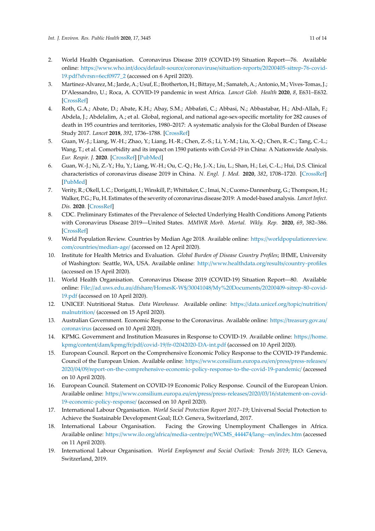- <span id="page-10-0"></span>2. World Health Organisation. Coronavirus Disease 2019 (COVID-19) Situation Report—76. Available online: https://www.who.int/docs/default-source/coronaviruse/situation-reports/[20200405-sitrep-76-covid-](https://www.who.int/docs/default-source/coronaviruse/situation-reports/20200405-sitrep-76-covid-19.pdf?sfvrsn=6ecf0977_2)[19.pdf?sfvrsn](https://www.who.int/docs/default-source/coronaviruse/situation-reports/20200405-sitrep-76-covid-19.pdf?sfvrsn=6ecf0977_2)=6ecf0977\_2 (accessed on 6 April 2020).
- <span id="page-10-10"></span><span id="page-10-1"></span>3. Martinez-Alvarez, M.; Jarde, A.; Usuf, E.; Brotherton, H.; Bittaye, M.; Samateh, A.; Antonio, M.; Vives-Tomas, J.; D'Alessandro, U.; Roca, A. COVID-19 pandemic in west Africa. *Lancet Glob. Health* **2020**, *8*, E631–E632. [\[CrossRef\]](http://dx.doi.org/10.1016/S2214-109X(20)30123-6)
- <span id="page-10-11"></span><span id="page-10-2"></span>4. Roth, G.A.; Abate, D.; Abate, K.H.; Abay, S.M.; Abbafati, C.; Abbasi, N.; Abbastabar, H.; Abd-Allah, F.; Abdela, J.; Abdelalim, A.; et al. Global, regional, and national age-sex-specific mortality for 282 causes of death in 195 countries and territories, 1980–2017: A systematic analysis for the Global Burden of Disease Study 2017. *Lancet* **2018**, *392*, 1736–1788. [\[CrossRef\]](http://dx.doi.org/10.1016/S0140-6736(18)32203-7)
- <span id="page-10-12"></span><span id="page-10-3"></span>5. Guan, W.-J.; Liang, W.-H.; Zhao, Y.; Liang, H.-R.; Chen, Z.-S.; Li, Y.-M.; Liu, X.-Q.; Chen, R.-C.; Tang, C.-L.; Wang, T.; et al. Comorbidity and its impact on 1590 patients with Covid-19 in China: A Nationwide Analysis. *Eur. Respir. J.* **2020**. [\[CrossRef\]](http://dx.doi.org/10.1183/13993003.00547-2020) [\[PubMed\]](http://www.ncbi.nlm.nih.gov/pubmed/32217650)
- <span id="page-10-4"></span>6. Guan, W.-J.; Ni, Z.-Y.; Hu, Y.; Liang, W.-H.; Ou, C.-Q.; He, J.-X.; Liu, L.; Shan, H.; Lei, C.-L.; Hui, D.S. Clinical characteristics of coronavirus disease 2019 in China. *N. Engl. J. Med.* **2020**, *382*, 1708–1720. [\[CrossRef\]](http://dx.doi.org/10.1056/NEJMoa2002032) [\[PubMed\]](http://www.ncbi.nlm.nih.gov/pubmed/32109013)
- <span id="page-10-5"></span>7. Verity, R.; Okell, L.C.; Dorigatti, I.; Winskill, P.; Whittaker, C.; Imai, N.; Cuomo-Dannenburg, G.; Thompson, H.; Walker, P.G.; Fu, H. Estimates of the severity of coronavirus disease 2019: A model-based analysis. *Lancet Infect. Dis.* **2020**. [\[CrossRef\]](http://dx.doi.org/10.1016/S1473-3099(20)30243-7)
- <span id="page-10-6"></span>8. CDC. Preliminary Estimates of the Prevalence of Selected Underlying Health Conditions Among Patients with Coronavirus Disease 2019—United States. *MMWR Morb. Mortal. Wkly. Rep.* **2020**, *69*, 382–386. [\[CrossRef\]](http://dx.doi.org/10.15585/mmwr.mm6913e2)
- <span id="page-10-7"></span>9. World Population Review. Countries by Median Age 2018. Available online: https://[worldpopulationreview.](https://worldpopulationreview.com/countries/median-age/) com/countries/[median-age](https://worldpopulationreview.com/countries/median-age/)/ (accessed on 12 April 2020).
- <span id="page-10-8"></span>10. Institute for Health Metrics and Evaluation. *Global Burden of Disease Country Profiles*; IHME, University of Washington: Seattle, WA, USA. Available online: http://[www.healthdata.org](http://www.healthdata.org/results/country-profiles)/results/country-profiles (accessed on 15 April 2020).
- <span id="page-10-9"></span>11. World Health Organisation. Coronavirus Disease 2019 (COVID-19) Situation Report—80. Available online: File://ad.uws.edu.au/dfshare/HomesK-W\$/30041048/My%20Documents/[20200409-sitrep-80-covid-](File://ad.uws.edu.au/dfshare/HomesK-W$/30041048/My%20Documents/20200409-sitrep-80-covid-19.pdf)[19.pdf](File://ad.uws.edu.au/dfshare/HomesK-W$/30041048/My%20Documents/20200409-sitrep-80-covid-19.pdf) (accessed on 10 April 2020).
- <span id="page-10-20"></span>12. UNICEF. Nutritional Status. *Data Warehouse.* Available online: https://[data.unicef.org](https://data.unicef.org/topic/nutrition/malnutrition/)/topic/nutrition/ [malnutrition](https://data.unicef.org/topic/nutrition/malnutrition/)/ (accessed on 15 April 2020).
- <span id="page-10-13"></span>13. Australian Government. Economic Response to the Coronavirus. Available online: https://[treasury.gov.au](https://treasury.gov.au/coronavirus)/ [coronavirus](https://treasury.gov.au/coronavirus) (accessed on 10 April 2020).
- <span id="page-10-14"></span>14. KPMG. Government and Institution Measures in Response to COVID-19. Available online: https://[home.](https://home.kpmg/content/dam/kpmg/fr/pdf/covid-19/fr-02042020-DA-int.pdf) kpmg/content/dam/kpmg/fr/pdf/covid-19/[fr-02042020-DA-int.pdf](https://home.kpmg/content/dam/kpmg/fr/pdf/covid-19/fr-02042020-DA-int.pdf) (accessed on 10 April 2020).
- <span id="page-10-15"></span>15. European Council. Report on the Comprehensive Economic Policy Response to the COVID-19 Pandemic. Council of the European Union. Available online: https://[www.consilium.europa.eu](https://www.consilium.europa.eu/en/press/press-releases/2020/04/09/report-on-the-comprehensive-economic-policy-response-to-the-covid-19-pandemic/)/en/press/press-releases/ 2020/04/09/[report-on-the-comprehensive-economic-policy-response-to-the-covid-19-pandemic](https://www.consilium.europa.eu/en/press/press-releases/2020/04/09/report-on-the-comprehensive-economic-policy-response-to-the-covid-19-pandemic/)/ (accessed on 10 April 2020).
- <span id="page-10-16"></span>16. European Council. Statement on COVID-19 Economic Policy Response. Council of the European Union. Available online: https://[www.consilium.europa.eu](https://www.consilium.europa.eu/en/press/press-releases/2020/03/16/statement-on-covid-19-economic-policy-response/)/en/press/press-releases/2020/03/16/statement-on-covid-[19-economic-policy-response](https://www.consilium.europa.eu/en/press/press-releases/2020/03/16/statement-on-covid-19-economic-policy-response/)/ (accessed on 10 April 2020).
- <span id="page-10-17"></span>17. International Labour Organisation. *World Social Protection Report 2017–19*; Universal Social Protection to Achieve the Sustainable Development Goal; ILO: Geneva, Switzerland, 2017.
- <span id="page-10-18"></span>18. International Labour Organisation. Facing the Growing Unemployment Challenges in Africa. Available online: https://www.ilo.org/africa/media-centre/pr/[WCMS\\_444474](https://www.ilo.org/africa/media-centre/pr/WCMS_444474/lang--en/index.htm)/lang--en/index.htm (accessed on 11 April 2020).
- <span id="page-10-19"></span>19. International Labour Organisation. *World Employment and Social Outlook: Trends 2019*; ILO: Geneva, Switzerland, 2019.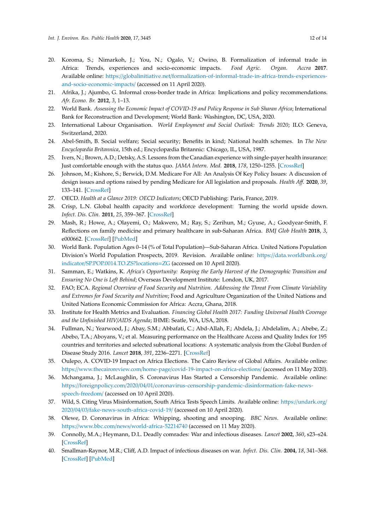- <span id="page-11-0"></span>20. Koroma, S.; Nimarkoh, J.; You, N.; Ogalo, V.; Owino, B. Formalization of informal trade in Africa: Trends, experiences and socio-economic impacts. *Food Agric. Organ. Accra* **2017**. Available online: https://globalinitiative.net/[formalization-of-informal-trade-in-africa-trends-experiences](https://globalinitiative.net/formalization-of-informal-trade-in-africa-trends-experiences-and-socio-economic-impacts/)[and-socio-economic-impacts](https://globalinitiative.net/formalization-of-informal-trade-in-africa-trends-experiences-and-socio-economic-impacts/)/ (accessed on 11 April 2020).
- <span id="page-11-1"></span>21. Afrika, J.; Ajumbo, G. Informal cross-border trade in Africa: Implications and policy recommendations. *Afr. Econo. Br.* **2012**, *3*, 1–13.
- <span id="page-11-2"></span>22. World Bank. *Assessing the Economic Impact of COVID-19 and Policy Response in Sub Sharan Africa*; International Bank for Reconstruction and Development; World Bank: Washington, DC, USA, 2020.
- <span id="page-11-3"></span>23. International Labour Organisation. *World Employment and Social Outlook: Trends 2020*; ILO: Geneva, Switzerland, 2020.
- <span id="page-11-4"></span>24. Abel-Smith, B. Social welfare; Social security; Benefits in kind; National health schemes. In *The New Encyclopædia Britannica*, 15th ed.; Encyclopædia Britannic: Chicago, IL, USA, 1987.
- 25. Ivers, N.; Brown, A.D.; Detsky, A.S. Lessons from the Canadian experience with single-payer health insurance: Just comfortable enough with the status quo. *JAMA Intern. Med.* **2018**, *178*, 1250–1255. [\[CrossRef\]](http://dx.doi.org/10.1001/jamainternmed.2018.3568)
- <span id="page-11-5"></span>26. Johnson, M.; Kishore, S.; Berwick, D.M. Medicare For All: An Analysis Of Key Policy Issues: A discussion of design issues and options raised by pending Medicare for All legislation and proposals. *Health A*ff*.* **2020**, *39*, 133–141. [\[CrossRef\]](http://dx.doi.org/10.1377/hlthaff.2019.01040)
- <span id="page-11-6"></span>27. OECD. *Health at a Glance 2019: OECD Indicators*; OECD Publishing: Paris, France, 2019.
- <span id="page-11-7"></span>28. Crisp, L.N. Global health capacity and workforce development: Turning the world upside down. *Infect. Dis. Clin.* **2011**, *25*, 359–367. [\[CrossRef\]](http://dx.doi.org/10.1016/j.idc.2011.02.010)
- <span id="page-11-8"></span>29. Mash, R.; Howe, A.; Olayemi, O.; Makwero, M.; Ray, S.; Zerihun, M.; Gyuse, A.; Goodyear-Smith, F. Reflections on family medicine and primary healthcare in sub-Saharan Africa. *BMJ Glob Health* **2018**, *3*, e000662. [\[CrossRef\]](http://dx.doi.org/10.1136/bmjgh-2017-000662) [\[PubMed\]](http://www.ncbi.nlm.nih.gov/pubmed/29765778)
- <span id="page-11-9"></span>30. World Bank. Population Ages 0–14 (% of Total Population)—Sub-Saharan Africa. United Nations Population Division's World Population Prospects, 2019. Revision. Available online: https://[data.worldbank.org](https://data.worldbank.org/indicator/SP.POP.0014.TO.ZS?locations=ZG)/ indicator/[SP.POP.0014.TO.ZS?locations](https://data.worldbank.org/indicator/SP.POP.0014.TO.ZS?locations=ZG)=ZG (accessed on 10 April 2020).
- <span id="page-11-10"></span>31. Samman, E.; Watkins, K. *Africa's Opportunity: Reaping the Early Harvest of the Demographic Transition and Ensuring No One is Left Behind*; Overseas Development Institute: London, UK, 2017.
- <span id="page-11-11"></span>32. FAO; ECA. *Regional Overview of Food Security and Nutrition. Addressing the Threat From Climate Variability and Extremes for Food Security and Nutrition*; Food and Agriculture Organization of the United Nations and United Nations Economic Commission for Africa: Accra, Ghana, 2018.
- <span id="page-11-12"></span>33. Institute for Health Metrics and Evaluation. *Financing Global Health 2017: Funding Universal Health Coverage and the Unfinished HIV*/*AIDS Agenda*; IHME: Seatle, WA, USA, 2018.
- <span id="page-11-13"></span>34. Fullman, N.; Yearwood, J.; Abay, S.M.; Abbafati, C.; Abd-Allah, F.; Abdela, J.; Abdelalim, A.; Abebe, Z.; Abebo, T.A.; Aboyans, V.; et al. Measuring performance on the Healthcare Access and Quality Index for 195 countries and territories and selected subnational locations: A systematic analysis from the Global Burden of Disease Study 2016. *Lancet* **2018**, *391*, 2236–2271. [\[CrossRef\]](http://dx.doi.org/10.1016/S0140-6736(18)30994-2)
- <span id="page-11-14"></span>35. Oulepo, A. COVID-19 Impact on Africa Elections. The Cairo Review of Global Affairs. Available online: https://www.thecairoreview.com/home-page/[covid-19-impact-on-africa-elections](https://www.thecairoreview.com/home-page/covid-19-impact-on-africa-elections/)/ (accessed on 11 May 2020).
- <span id="page-11-15"></span>36. Mchangama, J.; McLaughlin, S. Coronavirus Has Started a Censorship Pandemic. Available online: https://foreignpolicy.com/2020/04/01/[coronavirus-censorship-pandemic-disinformation-fake-news](https://foreignpolicy.com/2020/04/01/coronavirus-censorship-pandemic-disinformation-fake-news-speech-freedom/)[speech-freedom](https://foreignpolicy.com/2020/04/01/coronavirus-censorship-pandemic-disinformation-fake-news-speech-freedom/)/ (accessed on 10 April 2020).
- <span id="page-11-16"></span>37. Wild, S. Citing Virus Misinformation, South Africa Tests Speech Limits. Available online: https://[undark.org](https://undark.org/2020/04/03/fake-news-south-africa-covid-19/)/ 2020/04/03/[fake-news-south-africa-covid-19](https://undark.org/2020/04/03/fake-news-south-africa-covid-19/)/ (accessed on 10 April 2020).
- <span id="page-11-17"></span>38. Olewe, D. Coronavirus in Africa: Whipping, shooting and snooping. *BBC News*. Available online: https://www.bbc.com/news/[world-africa-52214740](https://www.bbc.com/news/world-africa-52214740) (accessed on 11 May 2020).
- <span id="page-11-18"></span>39. Connolly, M.A.; Heymann, D.L. Deadly comrades: War and infectious diseases. *Lancet* **2002**, *360*, s23–s24. [\[CrossRef\]](http://dx.doi.org/10.1016/S0140-6736(02)11807-1)
- <span id="page-11-19"></span>40. Smallman-Raynor, M.R.; Cliff, A.D. Impact of infectious diseases on war. *Infect. Dis. Clin.* **2004**, *18*, 341–368. [\[CrossRef\]](http://dx.doi.org/10.1016/j.idc.2004.01.009) [\[PubMed\]](http://www.ncbi.nlm.nih.gov/pubmed/15145384)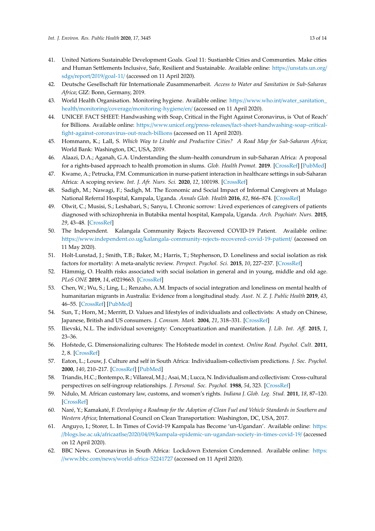- <span id="page-12-0"></span>41. United Nations Sustainable Development Goals. Goal 11: Sustianble Cities and Communties. Make cities and Human Settlements Inclusive, Safe, Resilient and Sustainable. Available online: https://[unstats.un.org](https://unstats.un.org/sdgs/report/2019/goal-11/)/ sdgs/report/2019/[goal-11](https://unstats.un.org/sdgs/report/2019/goal-11/)/ (accessed on 11 April 2020).
- <span id="page-12-1"></span>42. Deutsche Gesellschaft für Internationale Zusammenarbeit. *Access to Water and Sanitation in Sub-Saharan Africa*; GIZ: Bonn, Germany, 2019.
- <span id="page-12-2"></span>43. World Health Organisation. Monitoring hygiene. Available online: https://www.who.int/[water\\_sanitation\\_](https://www.who.int/water_sanitation_health/monitoring/coverage/monitoring-hygiene/en/) health/monitoring/coverage/[monitoring-hygiene](https://www.who.int/water_sanitation_health/monitoring/coverage/monitoring-hygiene/en/)/en/ (accessed on 11 April 2020).
- <span id="page-12-3"></span>44. UNICEF. FACT SHEET: Handwashing with Soap, Critical in the Fight Against Coronavirus, is 'Out of Reach' for Billions. Available online: https://www.unicef.org/press-releases/[fact-sheet-handwashing-soap-critical](https://www.unicef.org/press-releases/fact-sheet-handwashing-soap-critical-fight-against-coronavirus-out-reach-billions)[fight-against-coronavirus-out-reach-billions](https://www.unicef.org/press-releases/fact-sheet-handwashing-soap-critical-fight-against-coronavirus-out-reach-billions) (accessed on 11 April 2020).
- <span id="page-12-4"></span>45. Hommann, K.; Lall, S. *Which Way to Livable and Productive Cities? A Road Map for Sub-Saharan Africa*; World Bank: Washington, DC, USA, 2019.
- <span id="page-12-5"></span>46. Alaazi, D.A.; Aganah, G.A. Understanding the slum–health conundrum in sub-Saharan Africa: A proposal for a rights-based approach to health promotion in slums. *Glob. Health Promot.* **2019**. [\[CrossRef\]](http://dx.doi.org/10.1177/1757975919856273) [\[PubMed\]](http://www.ncbi.nlm.nih.gov/pubmed/31375057)
- <span id="page-12-6"></span>47. Kwame, A.; Petrucka, P.M. Communication in nurse-patient interaction in healthcare settings in sub-Saharan Africa: A scoping review. *Int. J. Afr. Nurs. Sci.* **2020**, *12*, 100198. [\[CrossRef\]](http://dx.doi.org/10.1016/j.ijans.2020.100198)
- <span id="page-12-12"></span>48. Sadigh, M.; Nawagi, F.; Sadigh, M. The Economic and Social Impact of Informal Caregivers at Mulago National Referral Hospital, Kampala, Uganda. *Annals Glob. Health* **2016**, *82*, 866–874. [\[CrossRef\]](http://dx.doi.org/10.1016/j.aogh.2016.06.005)
- <span id="page-12-7"></span>49. Olwit, C.; Musisi, S.; Leshabari, S.; Sanyu, I. Chronic sorrow: Lived experiences of caregivers of patients diagnosed with schizophrenia in Butabika mental hospital, Kampala, Uganda. *Arch. Psychiatr. Nurs.* **2015**, *29*, 43–48. [\[CrossRef\]](http://dx.doi.org/10.1016/j.apnu.2014.09.007)
- <span id="page-12-8"></span>50. The Independent. Kalangala Community Rejects Recovered COVID-19 Patient. Available online: https://www.independent.co.ug/[kalangala-community-rejects-recovered-covid-19-patient](https://www.independent.co.ug/kalangala-community-rejects-recovered-covid-19-patient/)/ (accessed on 11 May 2020).
- <span id="page-12-9"></span>51. Holt-Lunstad, J.; Smith, T.B.; Baker, M.; Harris, T.; Stephenson, D. Loneliness and social isolation as risk factors for mortality: A meta-analytic review. *Perspect. Psychol. Sci.* **2015**, *10*, 227–237. [\[CrossRef\]](http://dx.doi.org/10.1177/1745691614568352)
- <span id="page-12-10"></span>52. Hämmig, O. Health risks associated with social isolation in general and in young, middle and old age. *PLoS ONE* **2019**, *14*, e0219663. [\[CrossRef\]](http://dx.doi.org/10.1371/journal.pone.0219663)
- <span id="page-12-11"></span>53. Chen, W.; Wu, S.; Ling, L.; Renzaho, A.M. Impacts of social integration and loneliness on mental health of humanitarian migrants in Australia: Evidence from a longitudinal study. *Aust. N. Z. J. Public Health* **2019**, *43*, 46–55. [\[CrossRef\]](http://dx.doi.org/10.1111/1753-6405.12856) [\[PubMed\]](http://www.ncbi.nlm.nih.gov/pubmed/30602072)
- <span id="page-12-13"></span>54. Sun, T.; Horn, M.; Merritt, D. Values and lifestyles of individualists and collectivists: A study on Chinese, Japanese, British and US consumers. *J. Consum. Mark.* **2004**, *21*, 318–331. [\[CrossRef\]](http://dx.doi.org/10.1108/07363760410549140)
- <span id="page-12-15"></span>55. Ilievski, N.L. The individual sovereignty: Conceptuatization and manifestation. *J. Lib. Int. A*ff*.* **2015**, *1*, 23–36.
- <span id="page-12-14"></span>56. Hofstede, G. Dimensionalizing cultures: The Hofstede model in context. *Online Read. Psychol. Cult.* **2011**, *2*, 8. [\[CrossRef\]](http://dx.doi.org/10.9707/2307-0919.1014)
- <span id="page-12-16"></span>57. Eaton, L.; Louw, J. Culture and self in South Africa: Individualism-collectivism predictions. *J. Soc. Psychol.* **2000**, *140*, 210–217. [\[CrossRef\]](http://dx.doi.org/10.1080/00224540009600461) [\[PubMed\]](http://www.ncbi.nlm.nih.gov/pubmed/10808644)
- <span id="page-12-17"></span>58. Triandis, H.C.; Bontempo, R.; Villareal, M.J.; Asai, M.; Lucca, N. Individualism and collectivism: Cross-cultural perspectives on self-ingroup relationships. *J. Personal. Soc. Psychol.* **1988**, *54*, 323. [\[CrossRef\]](http://dx.doi.org/10.1037/0022-3514.54.2.323)
- <span id="page-12-18"></span>59. Ndulo, M. African customary law, customs, and women's rights. *Indiana J. Glob. Leg. Stud.* **2011**, *18*, 87–120. [\[CrossRef\]](http://dx.doi.org/10.2979/indjglolegstu.18.1.87)
- <span id="page-12-19"></span>60. Naré, Y.; Kamakaté, F. *Developing a Roadmap for the Adoption of Clean Fuel and Vehicle Standards in Southern and Western Africa*; International Council on Clean Transportation: Washington, DC, USA, 2017.
- <span id="page-12-20"></span>61. Anguyo, I.; Storer, L. In Times of Covid-19 Kampala has Become 'un-Ugandan'. Available online: [https:](https://blogs.lse.ac.uk/africaatlse/2020/04/09/kampala-epidemic-un-ugandan-society-in-times-covid-19/) //blogs.lse.ac.uk/africaatlse/2020/04/09/[kampala-epidemic-un-ugandan-society-in-times-covid-19](https://blogs.lse.ac.uk/africaatlse/2020/04/09/kampala-epidemic-un-ugandan-society-in-times-covid-19/)/ (accessed on 12 April 2020).
- <span id="page-12-21"></span>62. BBC News. Coronavirus in South Africa: Lockdown Extension Condemned. Available online: [https:](https://www.bbc.com/news/world-africa-52241727) //www.bbc.com/news/[world-africa-52241727](https://www.bbc.com/news/world-africa-52241727) (accessed on 11 April 2020).